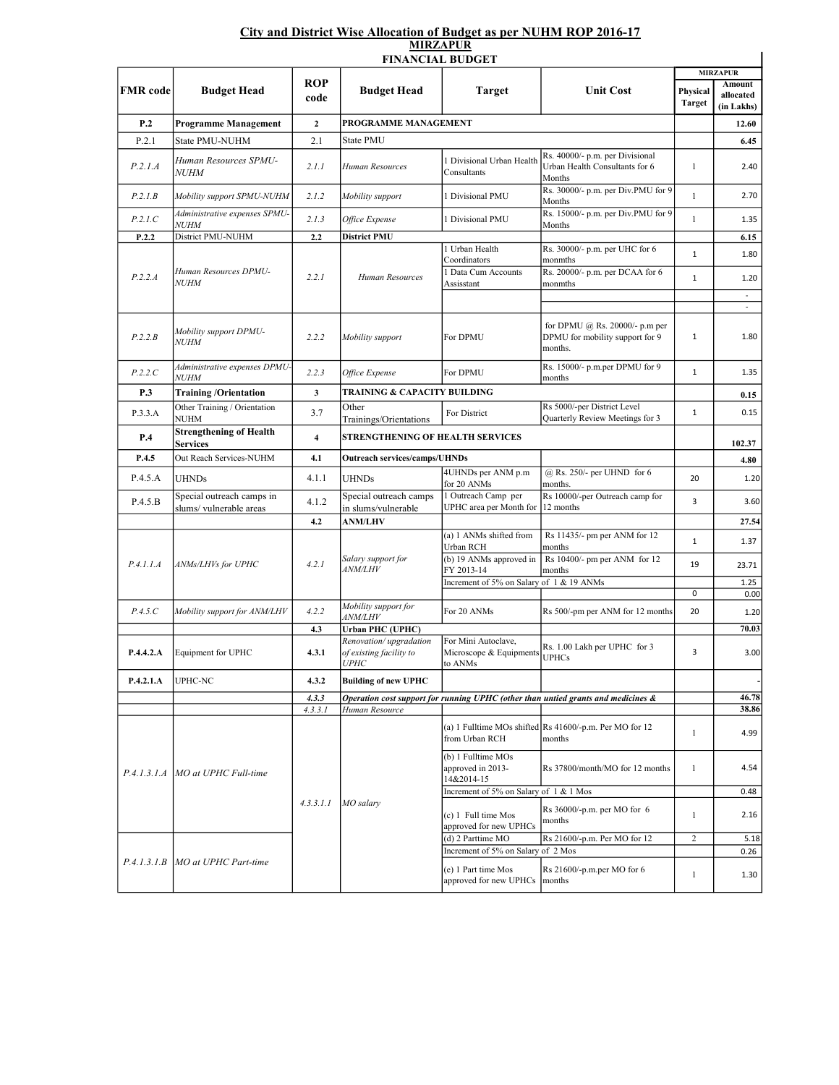## City and District Wise Allocation of Budget as per NUHM ROP 2016-17 MIRZAPUR

|                 |                                                     |                         | <b>FINANCIAL BUDGET</b>                                |                                                                 |                                                                                   |                           | <b>MIRZAPUR</b>                          |
|-----------------|-----------------------------------------------------|-------------------------|--------------------------------------------------------|-----------------------------------------------------------------|-----------------------------------------------------------------------------------|---------------------------|------------------------------------------|
| <b>FMR</b> code | <b>Budget Head</b>                                  | <b>ROP</b><br>code      | <b>Budget Head</b>                                     | <b>Target</b>                                                   | <b>Unit Cost</b>                                                                  | Physical<br><b>Target</b> | <b>Amount</b><br>allocated<br>(in Lakhs) |
| P.2             | <b>Programme Management</b>                         | $\mathbf{2}$            | PROGRAMME MANAGEMENT                                   |                                                                 |                                                                                   |                           | 12.60                                    |
| P.2.1           | State PMU-NUHM                                      | 2.1                     | <b>State PMU</b>                                       |                                                                 | 6.45                                                                              |                           |                                          |
| P.2.1.A         | Human Resources SPMU-<br><i>NUHM</i>                | 2.1.1                   | Human Resources                                        | 1 Divisional Urban Health<br>Consultants                        | Rs. 40000/- p.m. per Divisional<br>Urban Health Consultants for 6<br>Months       | $\mathbf{1}$              | 2.40                                     |
| P.2.1B          | Mobility support SPMU-NUHM                          | 2.1.2                   | Mobility support                                       | 1 Divisional PMU                                                | Rs. 30000/- p.m. per Div.PMU for 9<br>Months                                      | $\mathbf{1}$              | 2.70                                     |
| P.2.1.C         | Administrative expenses SPMU-<br><i>NUHM</i>        | 2.1.3                   | Office Expense                                         | 1 Divisional PMU                                                | Rs. 15000/- p.m. per Div.PMU for 9<br>Months                                      | $\mathbf{1}$              | 1.35                                     |
| P.2.2           | District PMU-NUHM                                   | 2.2                     | District PMU                                           |                                                                 |                                                                                   |                           | 6.15                                     |
| P.2.2.A         | Human Resources DPMU-<br><i>NUHM</i>                | 2.2.1                   | Human Resources                                        | 1 Urban Health<br>Coordinators                                  | Rs. 30000/- p.m. per UHC for 6<br>monmths                                         | $\mathbf{1}$              | 1.80                                     |
|                 |                                                     |                         |                                                        | 1 Data Cum Accounts<br>Assisstant                               | Rs. 20000/- p.m. per DCAA for 6<br>monmths                                        | 1                         | 1.20<br>$\omega$                         |
| P.2.2.B         | Mobility support DPMU-<br><b>NUHM</b>               | 2.2.2                   | Mobility support                                       | For DPMU                                                        | for DPMU @ Rs. 20000/- p.m per<br>DPMU for mobility support for 9<br>months.      | 1                         | $\omega$<br>1.80                         |
| P.2.2.C         | Administrative expenses DPMU-<br><i>NUHM</i>        | 2.2.3                   | Office Expense                                         | For DPMU                                                        | Rs. 15000/- p.m.per DPMU for 9<br>months                                          | $\mathbf 1$               | 1.35                                     |
| <b>P.3</b>      | <b>Training/Orientation</b>                         | 3                       |                                                        | TRAINING & CAPACITY BUILDING                                    |                                                                                   |                           | 0.15                                     |
| P.3.3.A         | Other Training / Orientation<br>NUHM                | 3.7                     | Other<br>Trainings/Orientations                        | For District                                                    | Rs 5000/-per District Level<br>Quarterly Review Meetings for 3                    | $\mathbf 1$               | 0.15                                     |
| P.4             | <b>Strengthening of Health</b><br>Services          | $\overline{\mathbf{4}}$ | <b>STRENGTHENING OF HEALTH SERVICES</b>                |                                                                 |                                                                                   |                           | 102.37                                   |
| P.4.5           | Out Reach Services-NUHM                             | 4.1                     | <b>Outreach services/camps/UHNDs</b>                   |                                                                 |                                                                                   |                           | 4.80                                     |
| P.4.5.A         | <b>UHNDs</b>                                        | 4.1.1                   | <b>UHNDs</b>                                           | 4UHNDs per ANM p.m<br>for 20 ANMs                               | @ Rs. 250/- per UHND for 6<br>months.                                             | 20                        | 1.20                                     |
| P.4.5.B         | Special outreach camps in<br>slums/vulnerable areas | 4.1.2                   | Special outreach camps<br>in slums/vulnerable          | 1 Outreach Camp per<br>UPHC area per Month for                  | Rs 10000/-per Outreach camp for<br>12 months                                      | 3                         | 3.60                                     |
|                 | ANMs/LHVs for UPHC                                  | 4.2<br>4.2.1            | <b>ANM/LHV</b><br>Salary support for<br><i>ANM/LHV</i> |                                                                 |                                                                                   |                           | 27.54                                    |
| P.4.1.1.A       |                                                     |                         |                                                        | (a) 1 ANMs shifted from<br>Urban RCH<br>(b) 19 ANMs approved in | Rs 11435/- pm per ANM for 12<br>months<br>Rs 10400/- pm per ANM for 12            | 1                         | 1.37                                     |
|                 |                                                     |                         |                                                        | FY 2013-14                                                      | months                                                                            | 19                        | 23.71                                    |
|                 |                                                     |                         |                                                        | Increment of 5% on Salary of 1 & 19 ANMs                        |                                                                                   |                           | 1.25                                     |
|                 |                                                     |                         | Mobility support for                                   |                                                                 |                                                                                   | 0                         | 0.00                                     |
| P.4.5.C         | Mobility support for ANM/LHV                        | 4.2.2                   | <i>ANM/LHV</i>                                         | For 20 ANMs                                                     | Rs 500/-pm per ANM for 12 months                                                  | 20                        | 1.20                                     |
|                 |                                                     | 4.3                     | <b>Urban PHC (UPHC)</b><br>Renovation/upgradation      | For Mini Autoclave,                                             |                                                                                   |                           | 70.03                                    |
| P.4.4.2.A       | Equipment for UPHC                                  | 4.3.1                   | of existing facility to<br><i>UPHC</i>                 | Microscope & Equipments<br>to ANMs                              | Rs. 1.00 Lakh per UPHC for 3<br><b>UPHCs</b>                                      | 3                         | 3.00                                     |
| P.4.2.1.A       | UPHC-NC                                             | 4.3.2                   | <b>Building of new UPHC</b>                            |                                                                 |                                                                                   |                           |                                          |
|                 |                                                     | 4.3.3                   |                                                        |                                                                 | Operation cost support for running UPHC (other than untied grants and medicines & |                           | 46.78                                    |
|                 |                                                     | 4.3.3.1                 | Human Resource                                         |                                                                 |                                                                                   |                           | 38.86                                    |
| P.4.1.3.1.A     | MO at UPHC Full-time                                | 4.3.3.1.1               | MO salarv                                              | from Urban RCH                                                  | (a) 1 Fulltime MOs shifted Rs 41600/-p.m. Per MO for 12<br>months                 | 1                         | 4.99                                     |
|                 |                                                     |                         |                                                        | (b) 1 Fulltime MOs<br>approved in 2013-<br>14&2014-15           | Rs 37800/month/MO for 12 months                                                   | $\mathbf{1}$              | 4.54                                     |
|                 |                                                     |                         |                                                        | Increment of 5% on Salary of 1 & 1 Mos                          |                                                                                   |                           | 0.48                                     |
|                 |                                                     |                         |                                                        | (c) 1 Full time Mos<br>approved for new UPHCs                   | Rs 36000/-p.m. per MO for 6<br>months                                             | 1                         | 2.16                                     |
|                 |                                                     |                         |                                                        | (d) 2 Parttime MO                                               | Rs 21600/-p.m. Per MO for 12                                                      | 2                         | 5.18                                     |
| P.4.1.3.1.B     | MO at UPHC Part-time                                |                         |                                                        | Increment of 5% on Salary of 2 Mos                              |                                                                                   |                           | 0.26                                     |
|                 |                                                     |                         |                                                        | (e) 1 Part time Mos<br>approved for new UPHCs                   | Rs 21600/-p.m.per MO for 6<br>months                                              | $\mathbf{1}$              | 1.30                                     |